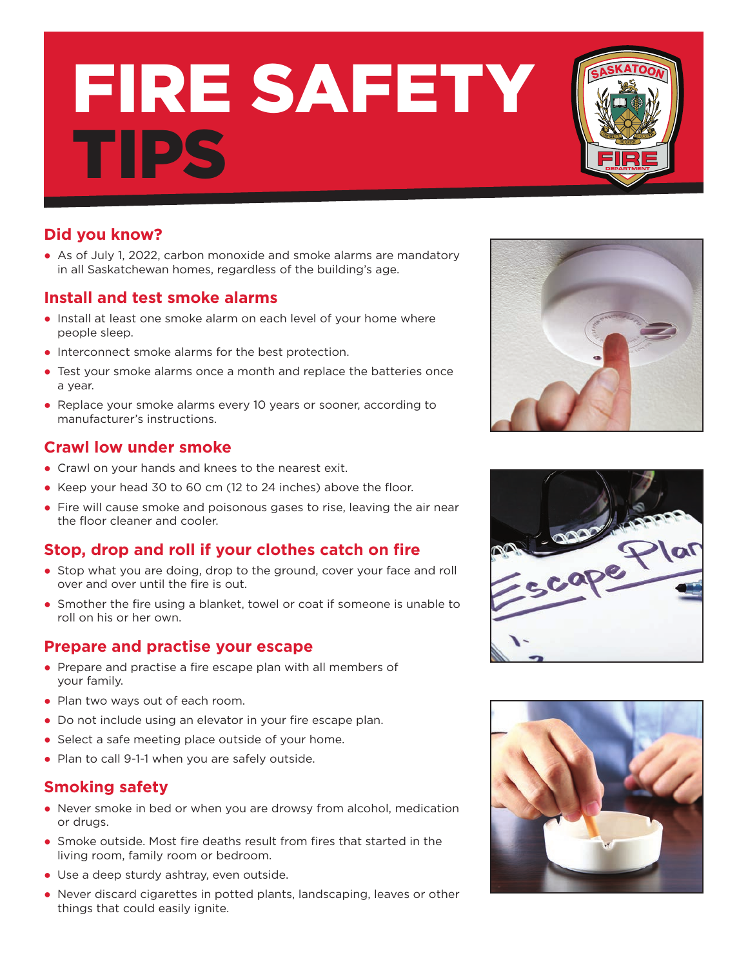# FIRE SAFETY TIPS

# **Did you know?**

● As of July 1, 2022, carbon monoxide and smoke alarms are mandatory in all Saskatchewan homes, regardless of the building's age.

# **Install and test smoke alarms**

- Install at least one smoke alarm on each level of your home where people sleep.
- Interconnect smoke alarms for the best protection.
- Test your smoke alarms once a month and replace the batteries once a year.
- Replace your smoke alarms every 10 years or sooner, according to manufacturer's instructions.

# **Crawl low under smoke**

- Crawl on your hands and knees to the nearest exit.
- Keep your head 30 to 60 cm (12 to 24 inches) above the floor.
- Fire will cause smoke and poisonous gases to rise, leaving the air near the floor cleaner and cooler.

# **Stop, drop and roll if your clothes catch on fire**

- Stop what you are doing, drop to the ground, cover your face and roll over and over until the fire is out.
- Smother the fire using a blanket, towel or coat if someone is unable to roll on his or her own.

# **Prepare and practise your escape**

- Prepare and practise a fire escape plan with all members of your family.
- Plan two ways out of each room.
- Do not include using an elevator in your fire escape plan.
- Select a safe meeting place outside of your home.
- Plan to call 9-1-1 when you are safely outside.

#### **Smoking safety**

- Never smoke in bed or when you are drowsy from alcohol, medication or drugs.
- Smoke outside. Most fire deaths result from fires that started in the living room, family room or bedroom.
- Use a deep sturdy ashtray, even outside.
- Never discard cigarettes in potted plants, landscaping, leaves or other things that could easily ignite.